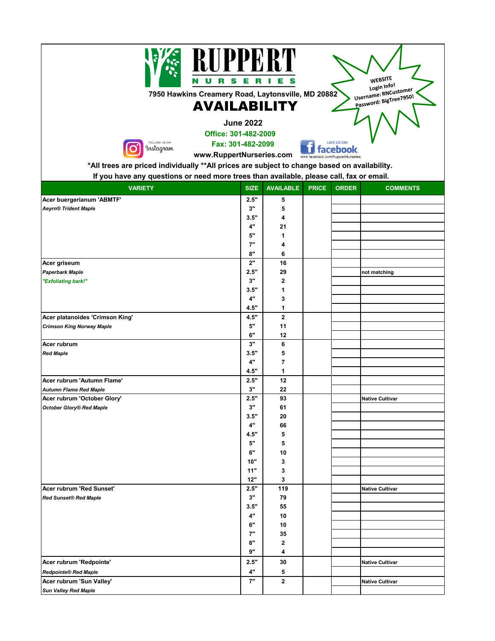| KUPPERT<br>WEBSITE<br>URSERIES<br>Login Info!<br>Username: RNCustomer<br>7950 Hawkins Creamery Road, Laytonsville, MD 20882<br>Password: BigTree7950!<br><b>AVAILABILITY</b><br><b>June 2022</b><br>Office: 301-482-2009<br>FOLLOW US ON<br><b>LIKE US ON</b><br>Fax: 301-482-2099<br>Instagram<br>acebook<br>www.RuppertNurseries.com<br>www.facebook.com/RuppertNurseries<br>*All trees are priced individually **All prices are subject to change based on availability.<br>If you have any questions or need more trees than available, please call, fax or email.<br><b>AVAILABLE</b><br><b>ORDER</b><br><b>VARIETY</b><br><b>SIZE</b><br><b>PRICE</b><br><b>COMMENTS</b> |            |              |  |  |                        |  |  |  |
|--------------------------------------------------------------------------------------------------------------------------------------------------------------------------------------------------------------------------------------------------------------------------------------------------------------------------------------------------------------------------------------------------------------------------------------------------------------------------------------------------------------------------------------------------------------------------------------------------------------------------------------------------------------------------------|------------|--------------|--|--|------------------------|--|--|--|
|                                                                                                                                                                                                                                                                                                                                                                                                                                                                                                                                                                                                                                                                                |            |              |  |  |                        |  |  |  |
| Acer buergerianum 'ABMTF'                                                                                                                                                                                                                                                                                                                                                                                                                                                                                                                                                                                                                                                      | 2.5"       | 5            |  |  |                        |  |  |  |
| <b>Aeyrn® Trident Maple</b>                                                                                                                                                                                                                                                                                                                                                                                                                                                                                                                                                                                                                                                    | 3"         | 5            |  |  |                        |  |  |  |
|                                                                                                                                                                                                                                                                                                                                                                                                                                                                                                                                                                                                                                                                                | 3.5"       | 4            |  |  |                        |  |  |  |
|                                                                                                                                                                                                                                                                                                                                                                                                                                                                                                                                                                                                                                                                                | 4"         | 21           |  |  |                        |  |  |  |
|                                                                                                                                                                                                                                                                                                                                                                                                                                                                                                                                                                                                                                                                                | 5"<br>7"   | 1            |  |  |                        |  |  |  |
|                                                                                                                                                                                                                                                                                                                                                                                                                                                                                                                                                                                                                                                                                | 8"         | 4<br>6       |  |  |                        |  |  |  |
| Acer griseum                                                                                                                                                                                                                                                                                                                                                                                                                                                                                                                                                                                                                                                                   | 2"         | 16           |  |  |                        |  |  |  |
| <b>Paperbark Maple</b>                                                                                                                                                                                                                                                                                                                                                                                                                                                                                                                                                                                                                                                         | 2.5"       | 29           |  |  | not matching           |  |  |  |
| "Exfoliating bark!"                                                                                                                                                                                                                                                                                                                                                                                                                                                                                                                                                                                                                                                            | 3"         | 2            |  |  |                        |  |  |  |
|                                                                                                                                                                                                                                                                                                                                                                                                                                                                                                                                                                                                                                                                                | 3.5"       | 1            |  |  |                        |  |  |  |
|                                                                                                                                                                                                                                                                                                                                                                                                                                                                                                                                                                                                                                                                                | 4"         | 3            |  |  |                        |  |  |  |
|                                                                                                                                                                                                                                                                                                                                                                                                                                                                                                                                                                                                                                                                                | 4.5"       | 1            |  |  |                        |  |  |  |
| Acer platanoides 'Crimson King'                                                                                                                                                                                                                                                                                                                                                                                                                                                                                                                                                                                                                                                | 4.5"       | 2            |  |  |                        |  |  |  |
| <b>Crimson King Norway Maple</b>                                                                                                                                                                                                                                                                                                                                                                                                                                                                                                                                                                                                                                               | 5"         | 11           |  |  |                        |  |  |  |
|                                                                                                                                                                                                                                                                                                                                                                                                                                                                                                                                                                                                                                                                                | 6"         | 12           |  |  |                        |  |  |  |
| Acer rubrum                                                                                                                                                                                                                                                                                                                                                                                                                                                                                                                                                                                                                                                                    | 3"         | 6            |  |  |                        |  |  |  |
| <b>Red Maple</b>                                                                                                                                                                                                                                                                                                                                                                                                                                                                                                                                                                                                                                                               | 3.5"       | 5            |  |  |                        |  |  |  |
|                                                                                                                                                                                                                                                                                                                                                                                                                                                                                                                                                                                                                                                                                | 4"         | 7            |  |  |                        |  |  |  |
|                                                                                                                                                                                                                                                                                                                                                                                                                                                                                                                                                                                                                                                                                | 4.5"       | 1            |  |  |                        |  |  |  |
| Acer rubrum 'Autumn Flame'                                                                                                                                                                                                                                                                                                                                                                                                                                                                                                                                                                                                                                                     | 2.5"       | 12           |  |  |                        |  |  |  |
| <b>Autumn Flame Red Maple</b>                                                                                                                                                                                                                                                                                                                                                                                                                                                                                                                                                                                                                                                  | 3"         | 22           |  |  |                        |  |  |  |
| Acer rubrum 'October Glory'                                                                                                                                                                                                                                                                                                                                                                                                                                                                                                                                                                                                                                                    | 2.5"       | 93           |  |  | <b>Native Cultivar</b> |  |  |  |
| October Glory® Red Maple                                                                                                                                                                                                                                                                                                                                                                                                                                                                                                                                                                                                                                                       | 3"         | 61           |  |  |                        |  |  |  |
|                                                                                                                                                                                                                                                                                                                                                                                                                                                                                                                                                                                                                                                                                | 3.5"       | 20           |  |  |                        |  |  |  |
|                                                                                                                                                                                                                                                                                                                                                                                                                                                                                                                                                                                                                                                                                | 4"         | 66           |  |  |                        |  |  |  |
|                                                                                                                                                                                                                                                                                                                                                                                                                                                                                                                                                                                                                                                                                | 4.5"<br>5" | 5<br>5       |  |  |                        |  |  |  |
|                                                                                                                                                                                                                                                                                                                                                                                                                                                                                                                                                                                                                                                                                | 6"         | 10           |  |  |                        |  |  |  |
|                                                                                                                                                                                                                                                                                                                                                                                                                                                                                                                                                                                                                                                                                | 10"        | 3            |  |  |                        |  |  |  |
|                                                                                                                                                                                                                                                                                                                                                                                                                                                                                                                                                                                                                                                                                | 11"        | 3            |  |  |                        |  |  |  |
|                                                                                                                                                                                                                                                                                                                                                                                                                                                                                                                                                                                                                                                                                | 12"        | 3            |  |  |                        |  |  |  |
| Acer rubrum 'Red Sunset'                                                                                                                                                                                                                                                                                                                                                                                                                                                                                                                                                                                                                                                       | 2.5"       | 119          |  |  | <b>Native Cultivar</b> |  |  |  |
| <b>Red Sunset® Red Maple</b>                                                                                                                                                                                                                                                                                                                                                                                                                                                                                                                                                                                                                                                   | 3"         | 79           |  |  |                        |  |  |  |
|                                                                                                                                                                                                                                                                                                                                                                                                                                                                                                                                                                                                                                                                                | 3.5"       | 55           |  |  |                        |  |  |  |
|                                                                                                                                                                                                                                                                                                                                                                                                                                                                                                                                                                                                                                                                                | 4"         | 10           |  |  |                        |  |  |  |
|                                                                                                                                                                                                                                                                                                                                                                                                                                                                                                                                                                                                                                                                                | 6"         | 10           |  |  |                        |  |  |  |
|                                                                                                                                                                                                                                                                                                                                                                                                                                                                                                                                                                                                                                                                                | 7"         | 35           |  |  |                        |  |  |  |
|                                                                                                                                                                                                                                                                                                                                                                                                                                                                                                                                                                                                                                                                                | 8"         | $\mathbf{2}$ |  |  |                        |  |  |  |
|                                                                                                                                                                                                                                                                                                                                                                                                                                                                                                                                                                                                                                                                                | 9"         | 4            |  |  |                        |  |  |  |
| Acer rubrum 'Redpointe'                                                                                                                                                                                                                                                                                                                                                                                                                                                                                                                                                                                                                                                        | 2.5"       | 30           |  |  | <b>Native Cultivar</b> |  |  |  |
| <b>Redpointe® Red Maple</b>                                                                                                                                                                                                                                                                                                                                                                                                                                                                                                                                                                                                                                                    | 4"         | 5            |  |  |                        |  |  |  |
| Acer rubrum 'Sun Valley'                                                                                                                                                                                                                                                                                                                                                                                                                                                                                                                                                                                                                                                       | 7"         | $\mathbf{2}$ |  |  | <b>Native Cultivar</b> |  |  |  |
| <b>Sun Valley Red Maple</b>                                                                                                                                                                                                                                                                                                                                                                                                                                                                                                                                                                                                                                                    |            |              |  |  |                        |  |  |  |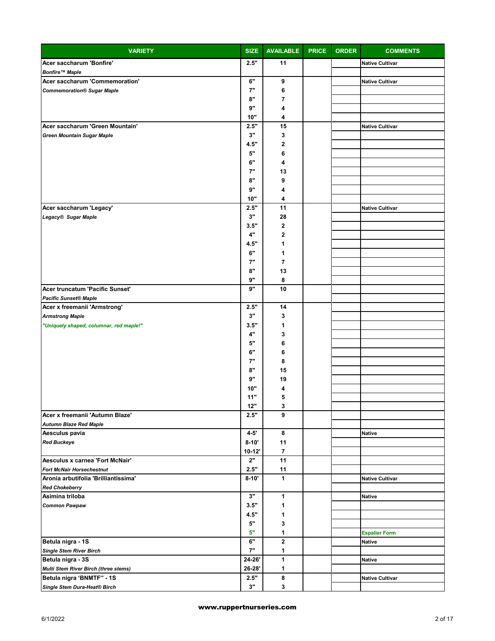| <b>VARIETY</b>                          | <b>SIZE</b> | <b>AVAILABLE</b>        | <b>PRICE</b> | <b>ORDER</b> | <b>COMMENTS</b>        |
|-----------------------------------------|-------------|-------------------------|--------------|--------------|------------------------|
| Acer saccharum 'Bonfire'                | 2.5"        | 11                      |              |              | <b>Native Cultivar</b> |
| <b>Bonfire™ Maple</b>                   |             |                         |              |              |                        |
| Acer saccharum 'Commemoration'          | 6"          | 9                       |              |              | <b>Native Cultivar</b> |
| <b>Commemoration® Sugar Maple</b>       | 7"          | 6                       |              |              |                        |
|                                         | 8"          | $\overline{7}$          |              |              |                        |
|                                         | 9"          | 4                       |              |              |                        |
|                                         | 10"         | 4                       |              |              |                        |
| Acer saccharum 'Green Mountain'         | 2.5"        | 15                      |              |              | <b>Native Cultivar</b> |
| <b>Green Mountain Sugar Maple</b>       | 3"          | 3                       |              |              |                        |
|                                         | 4.5"        | $\mathbf{2}$            |              |              |                        |
|                                         | 5"          | 6                       |              |              |                        |
|                                         | 6"          | 4                       |              |              |                        |
|                                         | 7"          | 13                      |              |              |                        |
|                                         | 8"          | 9                       |              |              |                        |
|                                         | 9"          | 4                       |              |              |                        |
|                                         | 10"         | 4                       |              |              |                        |
| Acer saccharum 'Legacy'                 | 2.5"        | 11                      |              |              | <b>Native Cultivar</b> |
| Legacy® Sugar Maple                     | 3"          | 28                      |              |              |                        |
|                                         | 3.5"        | $\mathbf{2}$            |              |              |                        |
|                                         | 4"          | $\overline{\mathbf{2}}$ |              |              |                        |
|                                         | 4.5"        | 1                       |              |              |                        |
|                                         | 6"          | 1                       |              |              |                        |
|                                         | 7"          | $\overline{7}$          |              |              |                        |
|                                         | 8"          | 13                      |              |              |                        |
|                                         | 9"          | 8                       |              |              |                        |
| Acer truncatum 'Pacific Sunset'         | 9"          | 10                      |              |              |                        |
| <b>Pacific Sunset® Maple</b>            |             |                         |              |              |                        |
| Acer x freemanii 'Armstrong'            | 2.5"<br>3"  | 14                      |              |              |                        |
| <b>Armstrong Maple</b>                  | 3.5"        | 3                       |              |              |                        |
| "Uniquely shaped, columnar, red maple!" | 4"          | 1<br>3                  |              |              |                        |
|                                         | 5"          | 6                       |              |              |                        |
|                                         | 6"          | 6                       |              |              |                        |
|                                         | 7"          | 8                       |              |              |                        |
|                                         | 8"          | 15                      |              |              |                        |
|                                         | 9"          | 19                      |              |              |                        |
|                                         | 10"         | 4                       |              |              |                        |
|                                         | 11"         | 5                       |              |              |                        |
|                                         | 12"         | 3                       |              |              |                        |
| Acer x freemanii 'Autumn Blaze'         | 2.5"        | 9                       |              |              |                        |
| Autumn Blaze Red Maple                  |             |                         |              |              |                        |
| Aesculus pavia                          | $4-5"$      | 8                       |              |              | Native                 |
| <b>Red Buckeye</b>                      | $8 - 10'$   | 11                      |              |              |                        |
|                                         | $10-12'$    | $\overline{7}$          |              |              |                        |
| Aesculus x carnea 'Fort McNair'         | 2"          | 11                      |              |              |                        |
| <b>Fort McNair Horsechestnut</b>        | 2.5"        | 11                      |              |              |                        |
| Aronia arbutifolia 'Brilliantissima'    | $8 - 10'$   | $\mathbf{1}$            |              |              | Native Cultivar        |
| <b>Red Chokeberry</b>                   |             |                         |              |              |                        |
| Asimina triloba                         | 3"          | 1                       |              |              | Native                 |
| <b>Common Pawpaw</b>                    | 3.5"        | 1                       |              |              |                        |
|                                         | 4.5"        | 1                       |              |              |                        |
|                                         | $5"$        | 3                       |              |              |                        |
|                                         | 5"          | 1                       |              |              | <b>Espalier Form</b>   |
| Betula nigra - 1S                       | 6"          | 2                       |              |              | Native                 |
| <b>Single Stem River Birch</b>          | $7"$        | 1                       |              |              |                        |
| Betula nigra - 3S                       | 24-26'      | 1                       |              |              | Native                 |
| Multi Stem River Birch (three stems)    | 26-28'      | 1                       |              |              |                        |
| Betula nigra 'BNMTF" - 1S               | 2.5"        | 8                       |              |              | Native Cultivar        |
| Single Stem Dura-Heat® Birch            | 3"          | 3                       |              |              |                        |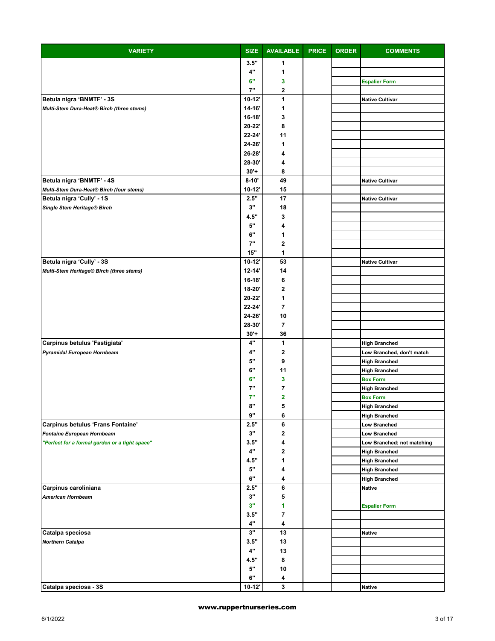| <b>VARIETY</b>                                 | <b>SIZE</b>      | <b>AVAILABLE</b>        | <b>PRICE</b> | <b>ORDER</b> | <b>COMMENTS</b>            |
|------------------------------------------------|------------------|-------------------------|--------------|--------------|----------------------------|
|                                                | 3.5"             | 1                       |              |              |                            |
|                                                | 4"               | 1                       |              |              |                            |
|                                                | 6"               | 3                       |              |              | <b>Espalier Form</b>       |
|                                                | 7"               | 2                       |              |              |                            |
| Betula nigra 'BNMTF' - 3S                      | $10 - 12'$       | 1                       |              |              | Native Cultivar            |
| Multi-Stem Dura-Heat® Birch (three stems)      | $14 - 16'$       | 1                       |              |              |                            |
|                                                | $16-18'$         | 3                       |              |              |                            |
|                                                | $20 - 22"$       | 8                       |              |              |                            |
|                                                | $22 - 24'$       | 11                      |              |              |                            |
|                                                | 24-26'           | 1                       |              |              |                            |
|                                                | 26-28'           | 4                       |              |              |                            |
|                                                | 28-30'           | 4                       |              |              |                            |
|                                                | $30'+$           | 8                       |              |              |                            |
| Betula nigra 'BNMTF' - 4S                      | $8 - 10'$        | 49                      |              |              | <b>Native Cultivar</b>     |
| Multi-Stem Dura-Heat® Birch (four stems)       | $10-12'$         | 15                      |              |              |                            |
| Betula nigra 'Cully' - 1S                      | 2.5"             | 17                      |              |              | <b>Native Cultivar</b>     |
| Single Stem Heritage® Birch                    | 3"               | 18                      |              |              |                            |
|                                                | 4.5"             | 3                       |              |              |                            |
|                                                | 5"               | 4                       |              |              |                            |
|                                                | 6"               | 1                       |              |              |                            |
|                                                | 7"               | 2                       |              |              |                            |
|                                                | 15"              | 1                       |              |              |                            |
| Betula nigra 'Cully' - 3S                      | $10 - 12'$       | 53                      |              |              | <b>Native Cultivar</b>     |
| Multi-Stem Heritage® Birch (three stems)       | $12 - 14'$       | 14                      |              |              |                            |
|                                                | $16 - 18'$       | 6                       |              |              |                            |
|                                                | 18-20'           | 2                       |              |              |                            |
|                                                | 20-22'<br>22-24' | 1<br>7                  |              |              |                            |
|                                                | 24-26'           | 10                      |              |              |                            |
|                                                | 28-30'           | $\overline{7}$          |              |              |                            |
|                                                | $30' +$          | 36                      |              |              |                            |
| Carpinus betulus 'Fastigiata'                  | 4"               | 1                       |              |              | <b>High Branched</b>       |
| Pyramidal European Hornbeam                    | 4"               | 2                       |              |              | Low Branched, don't match  |
|                                                | 5"               | 9                       |              |              | <b>High Branched</b>       |
|                                                | 6"               | 11                      |              |              | <b>High Branched</b>       |
|                                                | 6"               | 3                       |              |              | <b>Box Form</b>            |
|                                                | 7"               | $\overline{\mathbf{r}}$ |              |              | <b>High Branched</b>       |
|                                                | 7"               | $\overline{\mathbf{2}}$ |              |              | <b>Box Form</b>            |
|                                                | 8"               | 5                       |              |              | <b>High Branched</b>       |
|                                                | 9"               | 6                       |              |              | <b>High Branched</b>       |
| Carpinus betulus 'Frans Fontaine'              | 2.5"             | 6                       |              |              | Low Branched               |
| Fontaine European Hornbeam                     | 3"               | 2                       |              |              | Low Branched               |
| "Perfect for a formal garden or a tight space" | 3.5"             | 4                       |              |              | Low Branched; not matching |
|                                                | 4"               | 2                       |              |              | <b>High Branched</b>       |
|                                                | 4.5"             | 1                       |              |              | <b>High Branched</b>       |
|                                                | 5"               | 4                       |              |              | <b>High Branched</b>       |
|                                                | 6"               | 4                       |              |              | <b>High Branched</b>       |
| Carpinus caroliniana                           | 2.5"             | 6                       |              |              | Native                     |
| <b>American Hornbeam</b>                       | 3"               | 5                       |              |              |                            |
|                                                | 3"               | 1                       |              |              | <b>Espalier Form</b>       |
|                                                | 3.5"             | 7                       |              |              |                            |
|                                                | 4"               | 4                       |              |              |                            |
| Catalpa speciosa                               | 3"               | 13                      |              |              | <b>Native</b>              |
| <b>Northern Catalpa</b>                        | 3.5"             | 13                      |              |              |                            |
|                                                | 4"               | 13                      |              |              |                            |
|                                                | 4.5"             | 8                       |              |              |                            |
|                                                | 5"               | 10                      |              |              |                            |
|                                                | 6"               | 4                       |              |              |                            |
| Catalpa speciosa - 3S                          | $10-12'$         | 3                       |              |              | <b>Native</b>              |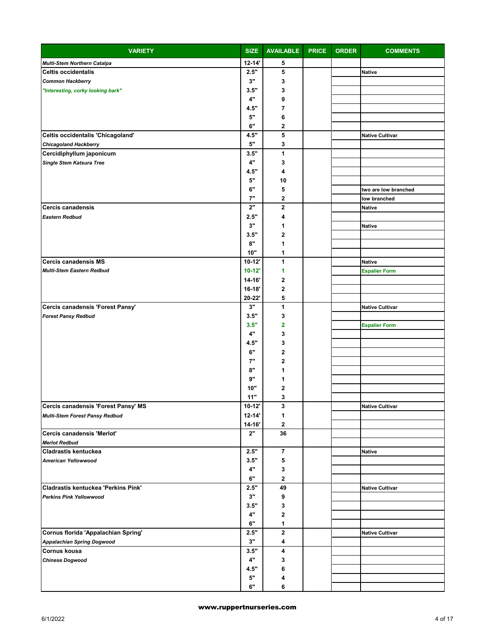| <b>VARIETY</b>                                     | <b>SIZE</b> | <b>AVAILABLE</b>        | <b>PRICE</b> | <b>ORDER</b> | <b>COMMENTS</b>        |
|----------------------------------------------------|-------------|-------------------------|--------------|--------------|------------------------|
|                                                    | $12 - 14'$  | 5                       |              |              |                        |
| Multi-Stem Northern Catalpa<br>Celtis occidentalis | 2.5"        | 5                       |              |              | <b>Native</b>          |
| <b>Common Hackberry</b>                            | 3"          | 3                       |              |              |                        |
| "Interesting, corky looking bark"                  | 3.5"        | 3                       |              |              |                        |
|                                                    | 4"          | 9                       |              |              |                        |
|                                                    | 4.5"        | 7                       |              |              |                        |
|                                                    | 5"          | 6                       |              |              |                        |
|                                                    | 6"          | $\overline{2}$          |              |              |                        |
| Celtis occidentalis 'Chicagoland'                  | 4.5"        | 5                       |              |              | <b>Native Cultivar</b> |
| <b>Chicagoland Hackberry</b>                       | $5"$        | 3                       |              |              |                        |
| Cercidiphyllum japonicum                           | 3.5"        | 1                       |              |              |                        |
| Single Stem Katsura Tree                           | 4"          | 3                       |              |              |                        |
|                                                    | 4.5"        | 4                       |              |              |                        |
|                                                    | $5"$        | 10                      |              |              |                        |
|                                                    | 6"          | 5                       |              |              | two are low branched   |
|                                                    | 7"          | $\overline{\mathbf{2}}$ |              |              | low branched           |
| Cercis canadensis                                  | 2"          | $\mathbf 2$             |              |              | <b>Native</b>          |
| <b>Eastern Redbud</b>                              | 2.5"        | 4                       |              |              |                        |
|                                                    | 3"          | 1                       |              |              | <b>Native</b>          |
|                                                    | $3.5"$      | $\mathbf 2$             |              |              |                        |
|                                                    | 8"          | 1                       |              |              |                        |
|                                                    | 10"         | 1                       |              |              |                        |
| Cercis canadensis MS                               | $10 - 12'$  | 1                       |              |              | <b>Native</b>          |
| Multi-Stem Eastern Redbud                          | $10-12'$    | 1                       |              |              | <b>Espalier Form</b>   |
|                                                    | $14 - 16'$  | 2                       |              |              |                        |
|                                                    | $16 - 18'$  | $\mathbf 2$             |              |              |                        |
|                                                    | 20-22'      | 5                       |              |              |                        |
| Cercis canadensis 'Forest Pansy'                   | 3"          | 1                       |              |              | <b>Native Cultivar</b> |
| <b>Forest Pansy Redbud</b>                         | 3.5"        | 3                       |              |              |                        |
|                                                    | 3.5"        | $\overline{\mathbf{2}}$ |              |              | <b>Espalier Form</b>   |
|                                                    | 4"          | 3                       |              |              |                        |
|                                                    | 4.5"        | 3                       |              |              |                        |
|                                                    | 6"          | 2                       |              |              |                        |
|                                                    | 7"          | 2                       |              |              |                        |
|                                                    | 8"          | 1                       |              |              |                        |
|                                                    | 9"          | 1                       |              |              |                        |
|                                                    | 10"         | $\mathbf 2$             |              |              |                        |
|                                                    | 11"         | 3                       |              |              |                        |
| Cercis canadensis 'Forest Pansy' MS                | $10 - 12'$  | $\mathbf{3}$            |              |              | <b>Native Cultivar</b> |
| Multi-Stem Forest Pansy Redbud                     | $12 - 14'$  | 1                       |              |              |                        |
|                                                    | $14 - 16'$  | $\mathbf{2}$            |              |              |                        |
| Cercis canadensis 'Merlot'                         | 2"          | 36                      |              |              |                        |
| <b>Merlot Redbud</b>                               |             |                         |              |              |                        |
| <b>Cladrastis kentuckea</b>                        | 2.5"        | 7                       |              |              | <b>Native</b>          |
| American Yellowwood                                | 3.5"        | 5                       |              |              |                        |
|                                                    | 4"          | 3                       |              |              |                        |
|                                                    | 6"          | 2                       |              |              |                        |
| Cladrastis kentuckea 'Perkins Pink'                | 2.5"        | 49                      |              |              | <b>Native Cultivar</b> |
| <b>Perkins Pink Yellowwood</b>                     | 3"          | 9                       |              |              |                        |
|                                                    | $3.5"$      | 3                       |              |              |                        |
|                                                    | 4"          | $\mathbf 2$             |              |              |                        |
|                                                    | 6"          | 1                       |              |              |                        |
| Cornus florida 'Appalachian Spring'                | 2.5"        | $\mathbf 2$             |              |              | <b>Native Cultivar</b> |
| Appalachian Spring Dogwood                         | 3"          | 4                       |              |              |                        |
| Cornus kousa                                       | $3.5"$      | 4                       |              |              |                        |
| <b>Chinese Dogwood</b>                             | 4"          | 3                       |              |              |                        |
|                                                    | 4.5"        | 6                       |              |              |                        |
|                                                    | $5"$        | 4                       |              |              |                        |
|                                                    | 6"          | 6                       |              |              |                        |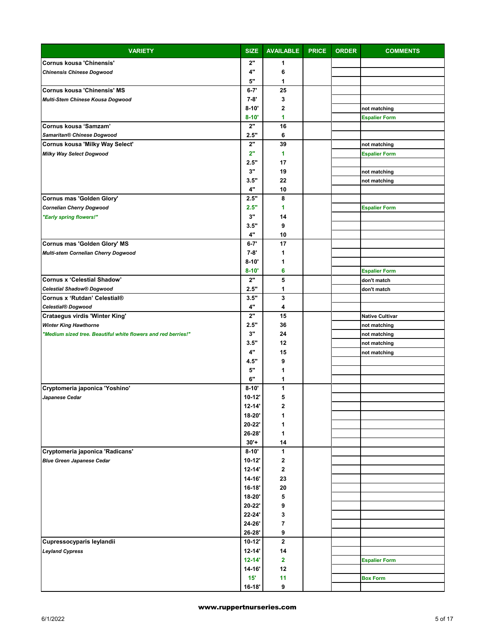| <b>VARIETY</b>                                                | <b>SIZE</b>      | <b>AVAILABLE</b> | <b>PRICE</b> | <b>ORDER</b> | <b>COMMENTS</b>        |
|---------------------------------------------------------------|------------------|------------------|--------------|--------------|------------------------|
| <b>Cornus kousa 'Chinensis'</b>                               | 2"               | 1                |              |              |                        |
| <b>Chinensis Chinese Dogwood</b>                              | 4"               | 6                |              |              |                        |
|                                                               | 5"               | 1                |              |              |                        |
| Cornus kousa 'Chinensis' MS                                   | $6 - 7'$         | 25               |              |              |                        |
| Multi-Stem Chinese Kousa Dogwood                              | $7-8'$           | 3                |              |              |                        |
|                                                               | $8 - 10'$        | 2                |              |              | not matching           |
|                                                               | $8 - 10'$        | 1                |              |              | <b>Espalier Form</b>   |
| Cornus kousa 'Samzam'                                         | 2"               | 16               |              |              |                        |
| Samaritan® Chinese Dogwood                                    | 2.5"             | 6                |              |              |                        |
| Cornus kousa 'Milky Way Select'                               | 2"               | 39               |              |              | not matching           |
| Milky Way Select Dogwood                                      | 2"               | 1                |              |              | <b>Espalier Form</b>   |
|                                                               | 2.5"             | 17               |              |              |                        |
|                                                               | 3"<br>3.5"       | 19               |              |              | not matching           |
|                                                               | 4"               | 22<br>10         |              |              | not matching           |
| Cornus mas 'Golden Glory'                                     | 2.5"             | 8                |              |              |                        |
| <b>Cornelian Cherry Dogwood</b>                               | 2.5"             | 1                |              |              | <b>Espalier Form</b>   |
| "Early spring flowers!"                                       | 3"               | 14               |              |              |                        |
|                                                               | 3.5"             | 9                |              |              |                        |
|                                                               | 4"               | 10               |              |              |                        |
| Cornus mas 'Golden Glory' MS                                  | $6 - 7'$         | 17               |              |              |                        |
| Multi-stem Cornelian Cherry Dogwood                           | $7-8'$           | 1                |              |              |                        |
|                                                               | $8 - 10'$        | 1                |              |              |                        |
|                                                               | $8 - 10'$        | 6                |              |              | <b>Espalier Form</b>   |
| <b>Cornus x 'Celestial Shadow'</b>                            | 2"               | 5                |              |              | don't match            |
| <b>Celestial Shadow® Dogwood</b>                              | 2.5"             | 1                |              |              | don't match            |
| Cornus x 'Rutdan' Celestial®                                  | 3.5"             | 3                |              |              |                        |
| Celestial® Dogwood                                            | 4"               | 4                |              |              |                        |
| <b>Crataegus virdis 'Winter King'</b>                         | 2"               | 15               |              |              | <b>Native Cultivar</b> |
| <b>Winter King Hawthorne</b>                                  | 2.5"             | 36               |              |              | not matching           |
| "Medium sized tree. Beautiful white flowers and red berries!" | 3"               | 24               |              |              | not matching           |
|                                                               | 3.5"             | 12               |              |              | not matching           |
|                                                               | 4"               | 15               |              |              | not matching           |
|                                                               | 4.5"             | 9                |              |              |                        |
|                                                               | 5"               | 1                |              |              |                        |
|                                                               | 6"               | 1                |              |              |                        |
| Cryptomeria japonica 'Yoshino'                                | $8 - 10'$        | 1                |              |              |                        |
| Japanese Cedar                                                | $10 - 12'$       | 5<br>2           |              |              |                        |
|                                                               | $12 - 14'$       |                  |              |              |                        |
|                                                               | 18-20'<br>20-22' | 1<br>1           |              |              |                        |
|                                                               | 26-28'           | 1                |              |              |                        |
|                                                               | $30' +$          | 14               |              |              |                        |
| Cryptomeria japonica 'Radicans'                               | $8 - 10'$        | 1                |              |              |                        |
| <b>Blue Green Japanese Cedar</b>                              | $10-12'$         | 2                |              |              |                        |
|                                                               | $12 - 14'$       | 2                |              |              |                        |
|                                                               | $14 - 16'$       | 23               |              |              |                        |
|                                                               | $16-18'$         | 20               |              |              |                        |
|                                                               | 18-20'           | 5                |              |              |                        |
|                                                               | 20-22'           | 9                |              |              |                        |
|                                                               | 22-24'           | 3                |              |              |                        |
|                                                               | 24-26'           | $\overline{7}$   |              |              |                        |
|                                                               | 26-28'           | 9                |              |              |                        |
| Cupressocyparis leylandii                                     | $10-12'$         | $\mathbf 2$      |              |              |                        |
| <b>Leyland Cypress</b>                                        | $12 - 14'$       | 14               |              |              |                        |
|                                                               | $12 - 14'$       | 2                |              |              | <b>Espalier Form</b>   |
|                                                               | 14-16'           | 12               |              |              |                        |
|                                                               | 15'              | 11               |              |              | <b>Box Form</b>        |
|                                                               | $16-18'$         | 9                |              |              |                        |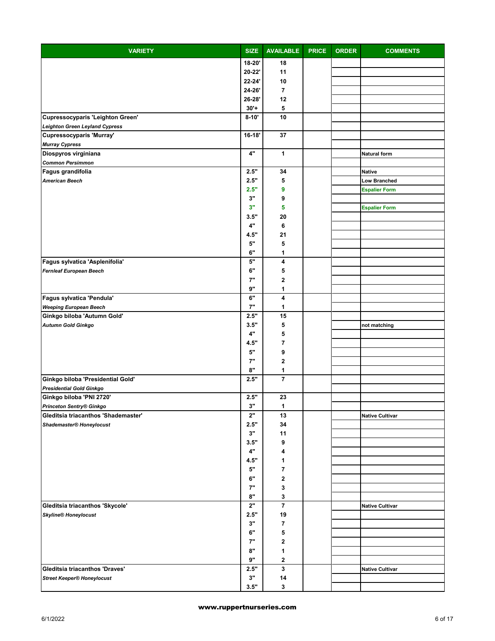| <b>VARIETY</b>                        | <b>SIZE</b> | <b>AVAILABLE</b> | <b>PRICE</b> | <b>ORDER</b> | <b>COMMENTS</b>        |
|---------------------------------------|-------------|------------------|--------------|--------------|------------------------|
|                                       | 18-20'      | 18               |              |              |                        |
|                                       | 20-22'      | 11               |              |              |                        |
|                                       | 22-24       | 10               |              |              |                        |
|                                       | 24-26'      | 7                |              |              |                        |
|                                       | 26-28'      | 12               |              |              |                        |
|                                       | $30'+$      | 5                |              |              |                        |
| Cupressocyparis 'Leighton Green'      | $8 - 10'$   | 10               |              |              |                        |
| <b>Leighton Green Leyland Cypress</b> |             |                  |              |              |                        |
| Cupressocyparis 'Murray'              | $16-18'$    | 37               |              |              |                        |
| <b>Murray Cypress</b>                 |             |                  |              |              |                        |
| Diospyros virginiana                  | 4"          | 1                |              |              | <b>Natural form</b>    |
| <b>Common Persimmon</b>               |             |                  |              |              |                        |
| Fagus grandifolia                     | 2.5"        | 34               |              |              | <b>Native</b>          |
| <b>American Beech</b>                 | 2.5"        | 5                |              |              | <b>Low Branched</b>    |
|                                       | 2.5"        | 9                |              |              | <b>Espalier Form</b>   |
|                                       | 3"          | 9                |              |              |                        |
|                                       | 3"          | 5                |              |              | <b>Espalier Form</b>   |
|                                       | 3.5"        | 20               |              |              |                        |
|                                       | 4"          | 6                |              |              |                        |
|                                       | 4.5"        | 21               |              |              |                        |
|                                       | $5"$        | 5                |              |              |                        |
|                                       | 6"          | 1                |              |              |                        |
| Fagus sylvatica 'Asplenifolia'        | $5"$        | 4                |              |              |                        |
| <b>Fernleaf European Beech</b>        | 6"          | 5                |              |              |                        |
|                                       | 7"          | $\mathbf 2$      |              |              |                        |
|                                       | 9"          | 1                |              |              |                        |
| Fagus sylvatica 'Pendula'             | 6"          | 4                |              |              |                        |
| <b>Weeping European Beech</b>         | 7"          | 1                |              |              |                        |
| Ginkgo biloba 'Autumn Gold'           | 2.5"        | 15               |              |              |                        |
| <b>Autumn Gold Ginkgo</b>             | 3.5"        | 5                |              |              | not matching           |
|                                       | 4"          | 5                |              |              |                        |
|                                       | 4.5"        | 7                |              |              |                        |
|                                       | $5"$        | 9                |              |              |                        |
|                                       | 7"          | $\mathbf 2$      |              |              |                        |
|                                       | 8"          | 1                |              |              |                        |
| Ginkgo biloba 'Presidential Gold'     | 2.5"        | $\bf 7$          |              |              |                        |
| <b>Presidential Gold Ginkgo</b>       |             |                  |              |              |                        |
| Ginkgo biloba 'PNI 2720'              | 2.5"        | 23               |              |              |                        |
| Princeton Sentry® Ginkgo              | 3"          | 1                |              |              |                        |
| Gleditsia triacanthos 'Shademaster'   | 2"          | 13               |              |              | <b>Native Cultivar</b> |
| Shademaster® Honeylocust              | 2.5"        | 34               |              |              |                        |
|                                       | 3"          | 11               |              |              |                        |
|                                       | 3.5"        | 9                |              |              |                        |
|                                       | 4"          | 4                |              |              |                        |
|                                       | 4.5"<br>5"  | 1                |              |              |                        |
|                                       | 6"          | 7                |              |              |                        |
|                                       | 7"          | 2<br>3           |              |              |                        |
|                                       | 8"          | 3                |              |              |                        |
| Gleditsia triacanthos 'Skycole'       | $2"$        | $\bf 7$          |              |              |                        |
| <b>Skyline® Honeylocust</b>           | 2.5"        | 19               |              |              | <b>Native Cultivar</b> |
|                                       | 3"          | 7                |              |              |                        |
|                                       | 6"          | 5                |              |              |                        |
|                                       | 7"          | 2                |              |              |                        |
|                                       | 8"          | 1                |              |              |                        |
|                                       | 9"          | 2                |              |              |                        |
| Gleditsia triacanthos 'Draves'        | 2.5"        | $\mathbf{3}$     |              |              | <b>Native Cultivar</b> |
| <b>Street Keeper® Honeylocust</b>     | 3"          | 14               |              |              |                        |
|                                       | 3.5"        | $\mathbf 3$      |              |              |                        |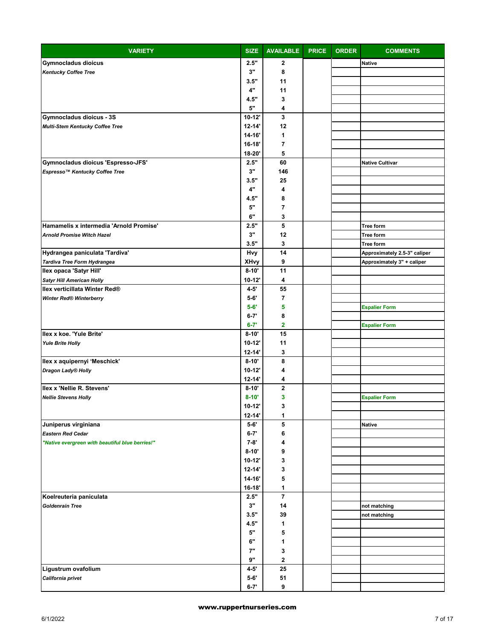| <b>VARIETY</b>                                    | <b>SIZE</b>  | <b>AVAILABLE</b>        | <b>PRICE</b> | <b>ORDER</b> | <b>COMMENTS</b>                                  |
|---------------------------------------------------|--------------|-------------------------|--------------|--------------|--------------------------------------------------|
| <b>Gymnocladus dioicus</b>                        | $2.5"$       | 2                       |              |              | <b>Native</b>                                    |
| <b>Kentucky Coffee Tree</b>                       | 3"           | 8                       |              |              |                                                  |
|                                                   | 3.5"         | 11                      |              |              |                                                  |
|                                                   | 4"           | 11                      |              |              |                                                  |
|                                                   | 4.5"         | 3                       |              |              |                                                  |
|                                                   | 5"           | 4                       |              |              |                                                  |
| Gymnocladus dioicus - 3S                          | $10 - 12'$   | 3                       |              |              |                                                  |
| <b>Multi-Stem Kentucky Coffee Tree</b>            | $12 - 14'$   | 12                      |              |              |                                                  |
|                                                   | $14 - 16'$   | 1                       |              |              |                                                  |
|                                                   | $16 - 18'$   | $\overline{\mathbf{r}}$ |              |              |                                                  |
|                                                   | 18-20'       | 5                       |              |              |                                                  |
| Gymnocladus dioicus 'Espresso-JFS'                | 2.5"         | 60                      |              |              | <b>Native Cultivar</b>                           |
| Espresso™ Kentucky Coffee Tree                    | 3"           | 146                     |              |              |                                                  |
|                                                   | 3.5"         | 25                      |              |              |                                                  |
|                                                   | 4"           | 4                       |              |              |                                                  |
|                                                   | 4.5"         | 8                       |              |              |                                                  |
|                                                   | 5"           | 7                       |              |              |                                                  |
|                                                   | 6"           | 3<br>5                  |              |              |                                                  |
| Hamamelis x intermedia 'Arnold Promise'           | 2.5"<br>3"   | 12                      |              |              | <b>Tree form</b><br><b>Tree form</b>             |
| <b>Arnold Promise Witch Hazel</b>                 | 3.5"         | 3                       |              |              |                                                  |
| Hydrangea paniculata 'Tardiva'                    | <b>Hvy</b>   | 14                      |              |              | <b>Tree form</b><br>Approximately 2.5-3" caliper |
| Tardiva Tree Form Hydrangea                       | <b>XHvy</b>  | 9                       |              |              | Approximately 3" + caliper                       |
| Ilex opaca 'Satyr Hill'                           | $8 - 10'$    | 11                      |              |              |                                                  |
| <b>Satyr Hill American Holly</b>                  | $10 - 12'$   | 4                       |              |              |                                                  |
| Ilex verticillata Winter Red®                     | $4-5$        | 55                      |              |              |                                                  |
| <b>Winter Red® Winterberry</b>                    | $5-6$        | 7                       |              |              |                                                  |
|                                                   | $5 - 6'$     | 5                       |              |              | <b>Espalier Form</b>                             |
|                                                   | $6 - 7'$     | 8                       |              |              |                                                  |
|                                                   | $6 - 7'$     | $\overline{\mathbf{2}}$ |              |              | <b>Espalier Form</b>                             |
| Ilex x koe. 'Yule Brite'                          | $8 - 10'$    | 15                      |              |              |                                                  |
| <b>Yule Brite Holly</b>                           | $10 - 12'$   | 11                      |              |              |                                                  |
|                                                   | 12-14'       | 3                       |              |              |                                                  |
| Ilex x aquipernyi 'Meschick'                      | $8 - 10'$    | 8                       |              |              |                                                  |
| Dragon Lady® Holly                                | $10 - 12'$   | 4                       |              |              |                                                  |
|                                                   | $12 - 14'$   | 4                       |              |              |                                                  |
| Ilex x 'Nellie R. Stevens'                        | $8 - 10'$    | $\mathbf 2$             |              |              |                                                  |
| <b>Nellie Stevens Holly</b>                       | $8 - 10'$    | 3                       |              |              | <b>Espalier Form</b>                             |
|                                                   | $10-12'$     | 3                       |              |              |                                                  |
|                                                   | $12 - 14'$   | 1                       |              |              |                                                  |
| Juniperus virginiana                              | $5-6'$       | 5                       |              |              | <b>Native</b>                                    |
| <b>Eastern Red Cedar</b>                          | $6 - 7'$     | 6                       |              |              |                                                  |
| "Native evergreen with beautiful blue berries!"   | $7 - 8'$     | 4                       |              |              |                                                  |
|                                                   | $8 - 10'$    | 9                       |              |              |                                                  |
|                                                   | $10-12'$     | 3                       |              |              |                                                  |
|                                                   | $12 - 14'$   | 3                       |              |              |                                                  |
|                                                   | $14 - 16'$   | 5                       |              |              |                                                  |
|                                                   | $16 - 18'$   | 1                       |              |              |                                                  |
| Koelreuteria paniculata<br><b>Goldenrain Tree</b> | $2.5"$<br>3" | $\overline{7}$<br>14    |              |              |                                                  |
|                                                   | 3.5"         | 39                      |              |              | not matching                                     |
|                                                   | 4.5"         | 1                       |              |              | not matching                                     |
|                                                   | 5"           | 5                       |              |              |                                                  |
|                                                   | 6"           | 1                       |              |              |                                                  |
|                                                   | 7"           | 3                       |              |              |                                                  |
|                                                   | 9"           | 2                       |              |              |                                                  |
| Ligustrum ovafolium                               | $4 - 5'$     | 25                      |              |              |                                                  |
| California privet                                 | $5-6'$       | 51                      |              |              |                                                  |
|                                                   | $6 - 7'$     | 9                       |              |              |                                                  |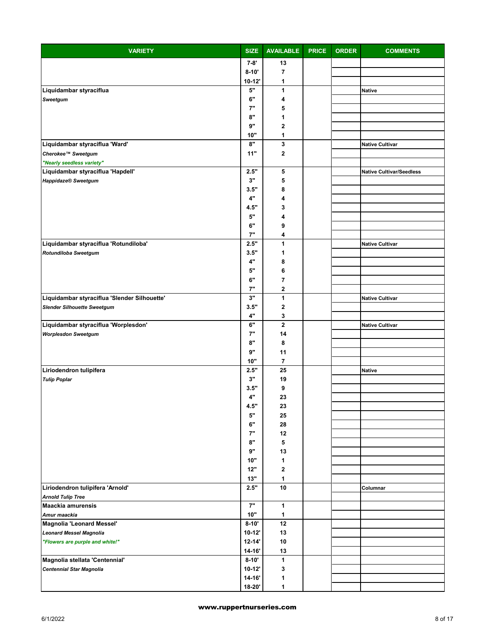| <b>VARIETY</b>                                                 | <b>SIZE</b>            | <b>AVAILABLE</b>         | <b>PRICE</b> | <b>ORDER</b> | <b>COMMENTS</b>                 |
|----------------------------------------------------------------|------------------------|--------------------------|--------------|--------------|---------------------------------|
|                                                                | $7-8$                  | 13                       |              |              |                                 |
|                                                                | $8 - 10'$              | $\overline{7}$           |              |              |                                 |
|                                                                | $10 - 12'$             | 1                        |              |              |                                 |
| Liquidambar styraciflua                                        | 5"                     | 1                        |              |              | <b>Native</b>                   |
| Sweetgum                                                       | 6"                     | 4                        |              |              |                                 |
|                                                                | 7"                     | 5                        |              |              |                                 |
|                                                                | 8"                     | 1                        |              |              |                                 |
|                                                                | 9"                     | 2                        |              |              |                                 |
|                                                                | 10"                    | 1                        |              |              |                                 |
| Liquidambar styraciflua 'Ward'                                 | 8"                     | 3                        |              |              | <b>Native Cultivar</b>          |
| Cherokee™ Sweetgum                                             | 11"                    | $\mathbf 2$              |              |              |                                 |
| "Nearly seedless variety"<br>Liquidambar styraciflua 'Hapdell' | 2.5"                   | 5                        |              |              | <b>Native Cultivar/Seedless</b> |
| Happidaze® Sweetgum                                            | 3"                     | 5                        |              |              |                                 |
|                                                                | 3.5"                   | 8                        |              |              |                                 |
|                                                                | 4"                     | 4                        |              |              |                                 |
|                                                                | 4.5"                   | 3                        |              |              |                                 |
|                                                                | 5"                     | 4                        |              |              |                                 |
|                                                                | 6"                     | 9                        |              |              |                                 |
|                                                                | 7"                     | 4                        |              |              |                                 |
| Liquidambar styraciflua 'Rotundiloba'                          | 2.5"                   | 1                        |              |              | <b>Native Cultivar</b>          |
| Rotundiloba Sweetgum                                           | $3.5"$                 | 1                        |              |              |                                 |
|                                                                | 4"                     | 8                        |              |              |                                 |
|                                                                | 5"                     | 6                        |              |              |                                 |
|                                                                | 6"                     | $\overline{\mathbf{r}}$  |              |              |                                 |
|                                                                | 7"                     | 2                        |              |              |                                 |
| Liquidambar styraciflua 'Slender Silhouette'                   | 3"                     | 1                        |              |              | <b>Native Cultivar</b>          |
| <b>Slender Silhouette Sweetgum</b>                             | 3.5"                   | $\mathbf 2$              |              |              |                                 |
|                                                                | 4"                     | 3                        |              |              |                                 |
| Liquidambar styraciflua 'Worplesdon'                           | 6"                     | $\mathbf 2$              |              |              | <b>Native Cultivar</b>          |
| <b>Worplesdon Sweetgum</b>                                     | 7"                     | 14                       |              |              |                                 |
|                                                                | 8"                     | 8                        |              |              |                                 |
|                                                                | 9"                     | 11                       |              |              |                                 |
|                                                                | 10"                    | $\overline{\phantom{a}}$ |              |              |                                 |
| Liriodendron tulipifera                                        | 2.5"<br>3"             | 25<br>19                 |              |              | <b>Native</b>                   |
| <b>Tulip Poplar</b>                                            | 3.5"                   | 9                        |              |              |                                 |
|                                                                | 4"                     | 23                       |              |              |                                 |
|                                                                | 4.5"                   | 23                       |              |              |                                 |
|                                                                | 5"                     | 25                       |              |              |                                 |
|                                                                | 6"                     | 28                       |              |              |                                 |
|                                                                | 7"                     | 12                       |              |              |                                 |
|                                                                | 8"                     | 5                        |              |              |                                 |
|                                                                | 9"                     | 13                       |              |              |                                 |
|                                                                | 10"                    | 1                        |              |              |                                 |
|                                                                | 12"                    | $\mathbf 2$              |              |              |                                 |
|                                                                | 13"                    | 1                        |              |              |                                 |
| Liriodendron tulipifera 'Arnold'                               | $2.5"$                 | 10                       |              |              | Columnar                        |
| <b>Arnold Tulip Tree</b>                                       |                        |                          |              |              |                                 |
| <b>Maackia amurensis</b>                                       | 7"                     | 1                        |              |              |                                 |
| Amur maackia                                                   | 10"                    | 1                        |              |              |                                 |
| Magnolia 'Leonard Messel'                                      | $8 - 10'$              | 12                       |              |              |                                 |
| <b>Leonard Messel Magnolia</b>                                 | $10-12'$               | 13                       |              |              |                                 |
| "Flowers are purple and white!"                                | $12 - 14'$             | 10                       |              |              |                                 |
|                                                                | 14-16'                 | 13                       |              |              |                                 |
| Magnolia stellata 'Centennial'                                 | $8 - 10'$              | 1                        |              |              |                                 |
| <b>Centennial Star Magnolia</b>                                | $10-12'$<br>$14 - 16'$ | 3<br>1                   |              |              |                                 |
|                                                                | $18 - 20'$             | 1                        |              |              |                                 |
|                                                                |                        |                          |              |              |                                 |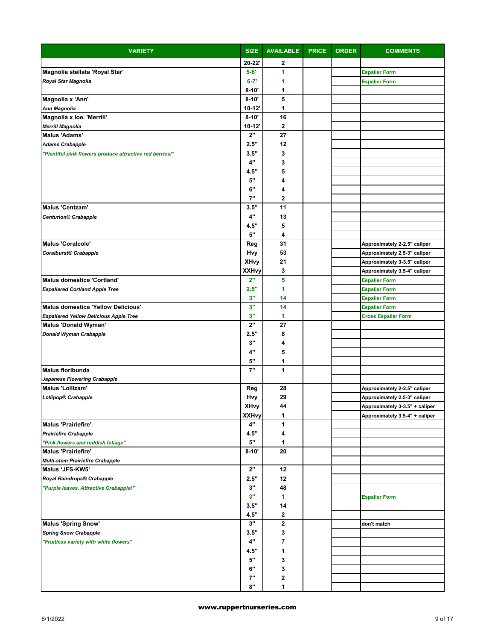| <b>VARIETY</b>                                           | <b>SIZE</b>  | <b>AVAILABLE</b> | <b>PRICE</b> | <b>ORDER</b> | <b>COMMENTS</b>                                              |
|----------------------------------------------------------|--------------|------------------|--------------|--------------|--------------------------------------------------------------|
|                                                          | 20-22'       | 2                |              |              |                                                              |
| Magnolia stellata 'Royal Star'                           | $5 - 6'$     | 1                |              |              | <b>Espalier Form</b>                                         |
| Royal Star Magnolia                                      | $6 - 7'$     | 1                |              |              | <b>Espalier Form</b>                                         |
|                                                          | $8 - 10'$    | 1                |              |              |                                                              |
| Magnolia x 'Ann'                                         | $8 - 10'$    | 5                |              |              |                                                              |
| Ann Magnolia                                             | $10 - 12'$   | 1                |              |              |                                                              |
| Magnolia x loe. 'Merrill'                                | $8 - 10'$    | 16               |              |              |                                                              |
| <b>Merrill Magnolia</b>                                  | $10 - 12'$   | $\mathbf{2}$     |              |              |                                                              |
| <b>Malus 'Adams'</b>                                     | 2"           | 27               |              |              |                                                              |
| <b>Adams Crabapple</b>                                   | 2.5"         | 12               |              |              |                                                              |
| "Plentiful pink flowers produce attractive red berries!" | 3.5"         | 3                |              |              |                                                              |
|                                                          | 4"           | 3                |              |              |                                                              |
|                                                          | 4.5"         | 5                |              |              |                                                              |
|                                                          | 5"           | 4                |              |              |                                                              |
|                                                          | 6"           | 4                |              |              |                                                              |
|                                                          | 7"           | $\overline{2}$   |              |              |                                                              |
| <b>Malus 'Centzam'</b>                                   | 3.5"<br>4"   | 11               |              |              |                                                              |
| <b>Centurion® Crabapple</b>                              |              | 13               |              |              |                                                              |
|                                                          | 4.5"<br>5"   | 5<br>4           |              |              |                                                              |
| <b>Malus 'Coralcole'</b>                                 | Reg          | 31               |              |              |                                                              |
| Coralburst <sup>®</sup> Crabapple                        | <b>Hvy</b>   | 53               |              |              | Approximately 2-2.5" caliper<br>Approximately 2.5-3" caliper |
|                                                          | <b>XHvy</b>  | 21               |              |              | Approximately 3-3.5" caliper                                 |
|                                                          | <b>XXHvy</b> | 3                |              |              | Approximately 3.5-4" caliper                                 |
| <b>Malus domestica 'Cortland'</b>                        | 2"           | 5                |              |              | <b>Espalier Form</b>                                         |
| <b>Espaliered Cortland Apple Tree</b>                    | 2.5"         | 1                |              |              | <b>Espalier Form</b>                                         |
|                                                          | 3"           | 14               |              |              | <b>Espalier Form</b>                                         |
| Malus domestica 'Yellow Delicious'                       | 3"           | 14               |              |              | <b>Espalier Form</b>                                         |
| <b>Espaliered Yellow Delicious Apple Tree</b>            | 3"           | 1                |              |              | <b>Cross Espalier Form</b>                                   |
| <b>Malus 'Donald Wyman'</b>                              | 2"           | 27               |              |              |                                                              |
| <b>Donald Wyman Crabapple</b>                            | 2.5"         | 8                |              |              |                                                              |
|                                                          | 3"           | 4                |              |              |                                                              |
|                                                          | 4"           | 5                |              |              |                                                              |
|                                                          | 5"           | 1                |              |              |                                                              |
| <b>Malus floribunda</b>                                  | 7"           | 1                |              |              |                                                              |
| Japanese Flowering Crabapple                             |              |                  |              |              |                                                              |
| <b>Malus 'Lollizam'</b>                                  | Reg          | 28               |              |              | Approximately 2-2.5" caliper                                 |
| Lollipop® Crabapple                                      | Hvy          | 29               |              |              | Approximately 2.5-3" caliper                                 |
|                                                          | <b>XHvy</b>  | 44               |              |              | Approximately 3-3.5" + caliper                               |
|                                                          | <b>XXHvy</b> | 1                |              |              | Approximately 3.5-4" + caliper                               |
| <b>Malus 'Prairiefire'</b>                               | 4"           | 1                |              |              |                                                              |
| <b>Prairiefire Crabapple</b>                             | 4.5"         | 4                |              |              |                                                              |
| "Pink flowers and reddish foliage"                       | $5"$         | 1                |              |              |                                                              |
| <b>Malus 'Prairiefire'</b>                               | $8 - 10'$    | 20               |              |              |                                                              |
| Multi-stem Prairiefire Crabapple                         |              |                  |              |              |                                                              |
| Malus 'JFS-KW5'                                          | 2"<br>2.5"   | 12<br>12         |              |              |                                                              |
| Royal Raindrops® Crabapple                               | 3"           | 48               |              |              |                                                              |
| "Purple leaves. Attractive Crabapple!"                   | 3"           | 1                |              |              | <b>Espalier Form</b>                                         |
|                                                          | 3.5"         | 14               |              |              |                                                              |
|                                                          | $4.5"$       | 2                |              |              |                                                              |
| <b>Malus 'Spring Snow'</b>                               | 3"           | 2                |              |              | don't match                                                  |
| <b>Spring Snow Crabapple</b>                             | 3.5"         | 3                |              |              |                                                              |
| "Fruitless variety with white flowers"                   | 4"           | 7                |              |              |                                                              |
|                                                          | 4.5"         | 1                |              |              |                                                              |
|                                                          | 5"           | 3                |              |              |                                                              |
|                                                          | 6"           | 3                |              |              |                                                              |
|                                                          | 7"           | 2                |              |              |                                                              |
|                                                          | 8"           | 1                |              |              |                                                              |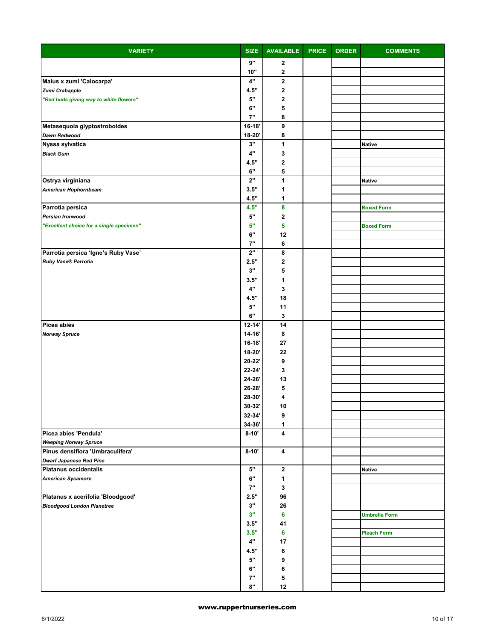| <b>VARIETY</b>                           | <b>SIZE</b>        | <b>AVAILABLE</b>        | <b>PRICE</b> | <b>ORDER</b> | <b>COMMENTS</b>      |
|------------------------------------------|--------------------|-------------------------|--------------|--------------|----------------------|
|                                          | 9"                 | 2                       |              |              |                      |
|                                          | 10"                | $\mathbf 2$             |              |              |                      |
| Malus x zumi 'Calocarpa'                 | 4"                 | $\mathbf 2$             |              |              |                      |
| Zumi Crabapple                           | 4.5"               | $\overline{\mathbf{2}}$ |              |              |                      |
| "Red buds giving way to white flowers"   | $5"$               | 2                       |              |              |                      |
|                                          | 6"                 | 5                       |              |              |                      |
|                                          | 7"                 | 8                       |              |              |                      |
| Metasequoia glyptostroboides             | $16-18'$           | 9                       |              |              |                      |
| Dawn Redwood                             | 18-20'             | 8                       |              |              |                      |
| Nyssa sylvatica                          | 3"                 | 1                       |              |              | <b>Native</b>        |
| <b>Black Gum</b>                         | 4"                 | 3                       |              |              |                      |
|                                          | 4.5"               | $\mathbf 2$             |              |              |                      |
|                                          | 6"                 | 5                       |              |              |                      |
| Ostrya virginiana                        | 2"                 | 1                       |              |              | <b>Native</b>        |
| American Hophornbeam                     | 3.5"               | 1                       |              |              |                      |
|                                          | 4.5"               | 1                       |              |              |                      |
| Parrotia persica                         | 4.5"               | 8                       |              |              | <b>Boxed Form</b>    |
| Persian Ironwood                         | 5"                 | $\mathbf 2$             |              |              |                      |
| "Excellent choice for a single specimen" | 5"                 | 5                       |              |              | <b>Boxed Form</b>    |
|                                          | 6"                 | 12                      |              |              |                      |
|                                          | 7"                 | 6                       |              |              |                      |
| Parrotia persica 'Igne's Ruby Vase'      | 2"                 | 8                       |              |              |                      |
| Ruby Vase® Parrotia                      | 2.5"               | $\mathbf 2$             |              |              |                      |
|                                          | 3"                 | 5                       |              |              |                      |
|                                          | 3.5"               | 1                       |              |              |                      |
|                                          | 4"                 | 3                       |              |              |                      |
|                                          | 4.5"               | 18                      |              |              |                      |
|                                          | $5"$               | 11                      |              |              |                      |
|                                          | 6"                 | 3                       |              |              |                      |
| Picea abies                              | $12 - 14'$         | 14                      |              |              |                      |
| <b>Norway Spruce</b>                     | $14 - 16'$         | 8                       |              |              |                      |
|                                          | $16-18'$           | 27                      |              |              |                      |
|                                          | 18-20'             | 22                      |              |              |                      |
|                                          | 20-22'             | 9                       |              |              |                      |
|                                          | 22-24              | 3                       |              |              |                      |
|                                          | 24-26'             | 13                      |              |              |                      |
|                                          | 26-28'             | 5                       |              |              |                      |
|                                          | 28-30'<br>$30-32'$ | 4                       |              |              |                      |
|                                          | 32-34'             | 10                      |              |              |                      |
|                                          | 34-36'             | 9<br>1                  |              |              |                      |
| Picea abies 'Pendula'                    | $8 - 10'$          | 4                       |              |              |                      |
| <b>Weeping Norway Spruce</b>             |                    |                         |              |              |                      |
| Pinus densiflora 'Umbraculifera'         | $8 - 10'$          | 4                       |              |              |                      |
| <b>Dwarf Japanese Red Pine</b>           |                    |                         |              |              |                      |
| Platanus occidentalis                    | $5"$               | $\mathbf 2$             |              |              | <b>Native</b>        |
| <b>American Sycamore</b>                 | 6"                 | 1                       |              |              |                      |
|                                          | 7"                 | 3                       |              |              |                      |
| Platanus x acerifolia 'Bloodgood'        | 2.5"               | 96                      |              |              |                      |
| <b>Bloodgood London Planetree</b>        | 3"                 | 26                      |              |              |                      |
|                                          | 3"                 | 6                       |              |              | <b>Umbrella Form</b> |
|                                          | 3.5"               | 41                      |              |              |                      |
|                                          | 3.5"               | 6                       |              |              | <b>Pleach Form</b>   |
|                                          | 4"                 | 17                      |              |              |                      |
|                                          | 4.5"               | 6                       |              |              |                      |
|                                          | $5"$               | 9                       |              |              |                      |
|                                          | 6"                 | 6                       |              |              |                      |
|                                          | 7"                 | 5                       |              |              |                      |
|                                          | 8"                 | 12                      |              |              |                      |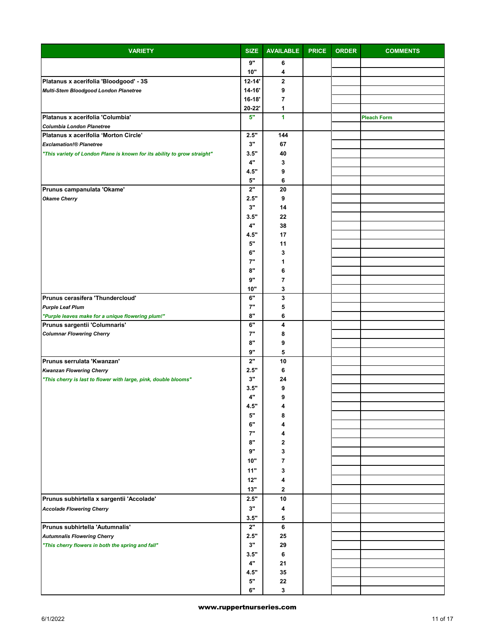| <b>VARIETY</b>                                                           | <b>SIZE</b>  | <b>AVAILABLE</b>        | <b>PRICE</b> | <b>ORDER</b> | <b>COMMENTS</b>    |
|--------------------------------------------------------------------------|--------------|-------------------------|--------------|--------------|--------------------|
|                                                                          | 9"           | 6                       |              |              |                    |
|                                                                          | 10"          | 4                       |              |              |                    |
| Platanus x acerifolia 'Bloodgood' - 3S                                   | $12 - 14'$   | $\mathbf 2$             |              |              |                    |
| Multi-Stem Bloodgood London Planetree                                    | $14 - 16'$   | 9                       |              |              |                    |
|                                                                          | $16-18'$     | 7                       |              |              |                    |
|                                                                          | 20-22'       | 1                       |              |              |                    |
| Platanus x acerifolia 'Columbia'                                         | 5"           | 1                       |              |              | <b>Pleach Form</b> |
| Columbia London Planetree                                                |              |                         |              |              |                    |
| Platanus x acerifolia 'Morton Circle'                                    | 2.5"         | 144                     |              |              |                    |
| <b>Exclamation!® Planetree</b>                                           | 3"           | 67                      |              |              |                    |
| "This variety of London Plane is known for its ability to grow straight" | 3.5"<br>4"   | 40<br>3                 |              |              |                    |
|                                                                          | 4.5"         | 9                       |              |              |                    |
|                                                                          | $5"$         | 6                       |              |              |                    |
| Prunus campanulata 'Okame'                                               | 2"           | 20                      |              |              |                    |
| <b>Okame Cherry</b>                                                      | 2.5"         | 9                       |              |              |                    |
|                                                                          | 3"           | 14                      |              |              |                    |
|                                                                          | 3.5"         | 22                      |              |              |                    |
|                                                                          | 4"           | 38                      |              |              |                    |
|                                                                          | 4.5"         | 17                      |              |              |                    |
|                                                                          | $5"$         | 11                      |              |              |                    |
|                                                                          | 6"           | 3                       |              |              |                    |
|                                                                          | 7"           | 1                       |              |              |                    |
|                                                                          | 8"           | 6                       |              |              |                    |
|                                                                          | 9"           | 7                       |              |              |                    |
|                                                                          | 10"          | 3                       |              |              |                    |
| Prunus cerasifera 'Thundercloud'                                         | 6"           | 3                       |              |              |                    |
| <b>Purple Leaf Plum</b>                                                  | 7"           | 5                       |              |              |                    |
| "Purple leaves make for a unique flowering plum!"                        | 8"           | 6                       |              |              |                    |
| Prunus sargentii 'Columnaris'                                            | 6"           | 4                       |              |              |                    |
| <b>Columnar Flowering Cherry</b>                                         | 7"           | 8                       |              |              |                    |
|                                                                          | 8"           | 9                       |              |              |                    |
|                                                                          | 9"           | 5                       |              |              |                    |
| Prunus serrulata 'Kwanzan'                                               | 2"           | 10                      |              |              |                    |
| <b>Kwanzan Flowering Cherry</b>                                          | 2.5"         | 6                       |              |              |                    |
| "This cherry is last to flower with large, pink, double blooms"          | 3"<br>$3.5"$ | 24<br>9                 |              |              |                    |
|                                                                          | 4"           | 9                       |              |              |                    |
|                                                                          | 4.5"         | 4                       |              |              |                    |
|                                                                          | 5"           | 8                       |              |              |                    |
|                                                                          | 6"           | 4                       |              |              |                    |
|                                                                          | 7"           | 4                       |              |              |                    |
|                                                                          | 8"           | $\overline{\mathbf{2}}$ |              |              |                    |
|                                                                          | 9"           | 3                       |              |              |                    |
|                                                                          | 10"          | $\overline{7}$          |              |              |                    |
|                                                                          | 11"          | 3                       |              |              |                    |
|                                                                          | 12"          | 4                       |              |              |                    |
|                                                                          | 13"          | $\mathbf{2}$            |              |              |                    |
| Prunus subhirtella x sargentii 'Accolade'                                | 2.5"         | 10                      |              |              |                    |
| <b>Accolade Flowering Cherry</b>                                         | 3"           | 4                       |              |              |                    |
|                                                                          | 3.5"         | 5                       |              |              |                    |
| Prunus subhirtella 'Autumnalis'                                          | 2"           | 6                       |              |              |                    |
| <b>Autumnalis Flowering Cherry</b>                                       | 2.5"         | 25                      |              |              |                    |
| "This cherry flowers in both the spring and fall"                        | 3"           | 29                      |              |              |                    |
|                                                                          | 3.5"         | 6                       |              |              |                    |
|                                                                          | 4"           | 21                      |              |              |                    |
|                                                                          | 4.5"         | 35                      |              |              |                    |
|                                                                          | $5"$         | 22                      |              |              |                    |
|                                                                          | 6"           | 3                       |              |              |                    |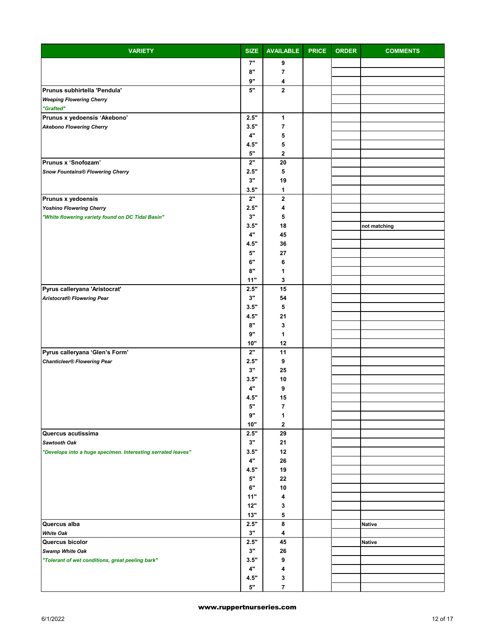| <b>VARIETY</b>                                               | <b>SIZE</b> | <b>AVAILABLE</b>    | <b>PRICE</b> | <b>ORDER</b> | <b>COMMENTS</b> |
|--------------------------------------------------------------|-------------|---------------------|--------------|--------------|-----------------|
|                                                              | 7"          | 9                   |              |              |                 |
|                                                              | 8"          | $\overline{7}$      |              |              |                 |
|                                                              | 9"          | 4                   |              |              |                 |
| Prunus subhirtella 'Pendula'                                 | 5"          | $\mathbf{2}$        |              |              |                 |
| <b>Weeping Flowering Cherry</b>                              |             |                     |              |              |                 |
| "Grafted"                                                    |             |                     |              |              |                 |
| Prunus x yedoensis 'Akebono'                                 | 2.5"        | 1                   |              |              |                 |
| <b>Akebono Flowering Cherry</b>                              | 3.5"<br>4"  | $\overline{7}$<br>5 |              |              |                 |
|                                                              | 4.5"        | 5                   |              |              |                 |
|                                                              | 5"          | $\mathbf{2}$        |              |              |                 |
| Prunus x 'Snofozam'                                          | 2"          | 20                  |              |              |                 |
| Snow Fountains® Flowering Cherry                             | 2.5"        | 5                   |              |              |                 |
|                                                              | 3"          | 19                  |              |              |                 |
|                                                              | 3.5"        | 1                   |              |              |                 |
| Prunus x yedoensis                                           | 2"          | $\mathbf 2$         |              |              |                 |
| <b>Yoshino Flowering Cherry</b>                              | 2.5"        | 4                   |              |              |                 |
| "White flowering variety found on DC Tidal Basin"            | 3"          | 5                   |              |              |                 |
|                                                              | 3.5"        | 18                  |              |              | not matching    |
|                                                              | 4"          | 45                  |              |              |                 |
|                                                              | 4.5"        | 36                  |              |              |                 |
|                                                              | 5"<br>6"    | 27<br>6             |              |              |                 |
|                                                              | 8"          | 1                   |              |              |                 |
|                                                              | 11"         | 3                   |              |              |                 |
| Pyrus calleryana 'Aristocrat'                                | $2.5"$      | 15                  |              |              |                 |
| Aristocrat® Flowering Pear                                   | 3"          | 54                  |              |              |                 |
|                                                              | 3.5"        | 5                   |              |              |                 |
|                                                              | 4.5"        | 21                  |              |              |                 |
|                                                              | 8"          | 3                   |              |              |                 |
|                                                              | 9"          | 1                   |              |              |                 |
|                                                              | $10"$       | 12                  |              |              |                 |
| Pyrus calleryana 'Glen's Form'                               | 2"          | 11                  |              |              |                 |
| <b>Chanticleer® Flowering Pear</b>                           | 2.5"        | 9                   |              |              |                 |
|                                                              | 3"          | 25                  |              |              |                 |
|                                                              | 3.5"<br>4"  | 10                  |              |              |                 |
|                                                              | 4.5"        | 9<br>15             |              |              |                 |
|                                                              | 5"          | 7                   |              |              |                 |
|                                                              | 9"          | 1                   |              |              |                 |
|                                                              | 10"         | $\mathbf 2$         |              |              |                 |
| Quercus acutissima                                           | 2.5"        | 29                  |              |              |                 |
| Sawtooth Oak                                                 | 3"          | 21                  |              |              |                 |
| "Develops into a huge specimen. Interesting serrated leaves" | 3.5"        | 12                  |              |              |                 |
|                                                              | 4"          | 26                  |              |              |                 |
|                                                              | 4.5"        | 19                  |              |              |                 |
|                                                              | 5"          | 22                  |              |              |                 |
|                                                              | 6"          | 10                  |              |              |                 |
|                                                              | 11"         | 4                   |              |              |                 |
|                                                              | 12"         | 3                   |              |              |                 |
| Quercus alba                                                 | 13"<br>2.5" | 5<br>8              |              |              | <b>Native</b>   |
| <b>White Oak</b>                                             | $3"$        | 4                   |              |              |                 |
| Quercus bicolor                                              | 2.5"        | 45                  |              |              | <b>Native</b>   |
| Swamp White Oak                                              | 3"          | 26                  |              |              |                 |
| "Tolerant of wet conditions, great peeling bark"             | 3.5"        | 9                   |              |              |                 |
|                                                              | 4"          | 4                   |              |              |                 |
|                                                              | 4.5"        | 3                   |              |              |                 |
|                                                              | $5"$        | $\overline{7}$      |              |              |                 |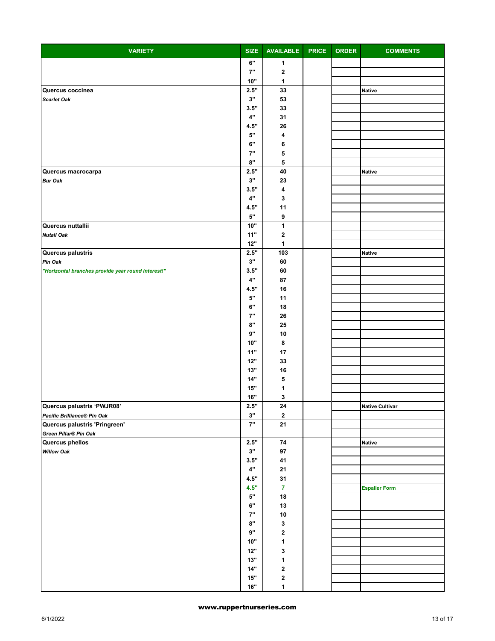| <b>VARIETY</b>                                               | <b>SIZE</b>    | <b>AVAILABLE</b>           | <b>PRICE</b> | <b>ORDER</b> | <b>COMMENTS</b>        |
|--------------------------------------------------------------|----------------|----------------------------|--------------|--------------|------------------------|
|                                                              | 6"             | 1                          |              |              |                        |
|                                                              | 7"             | $\mathbf 2$                |              |              |                        |
|                                                              | 10"            | 1                          |              |              |                        |
| Quercus coccinea                                             | 2.5"           | 33                         |              |              | <b>Native</b>          |
| <b>Scarlet Oak</b>                                           | 3"             | 53                         |              |              |                        |
|                                                              | 3.5"<br>4"     | 33<br>31                   |              |              |                        |
|                                                              | 4.5"           | 26                         |              |              |                        |
|                                                              | $5"$           | 4                          |              |              |                        |
|                                                              | 6"             | 6                          |              |              |                        |
|                                                              | 7"             | 5                          |              |              |                        |
|                                                              | 8"             | 5                          |              |              |                        |
| Quercus macrocarpa                                           | $2.5"$         | 40                         |              |              | <b>Native</b>          |
| <b>Bur Oak</b>                                               | 3"             | 23                         |              |              |                        |
|                                                              | 3.5"           | 4                          |              |              |                        |
|                                                              | 4"             | 3                          |              |              |                        |
|                                                              | 4.5"<br>$5"$   | 11<br>9                    |              |              |                        |
| Quercus nuttallii                                            | 10"            | $\mathbf{1}$               |              |              |                        |
| <b>Nutall Oak</b>                                            | 11"            | 2                          |              |              |                        |
|                                                              | 12"            | $\mathbf{1}$               |              |              |                        |
| Quercus palustris                                            | 2.5"           | 103                        |              |              | <b>Native</b>          |
| Pin Oak                                                      | $3"$           | 60                         |              |              |                        |
| "Horizontal branches provide year round interest!"           | 3.5"           | 60                         |              |              |                        |
|                                                              | 4"             | 87                         |              |              |                        |
|                                                              | 4.5"           | 16                         |              |              |                        |
|                                                              | $5"$           | 11                         |              |              |                        |
|                                                              | 6"<br>7"       | 18<br>26                   |              |              |                        |
|                                                              | 8"             | 25                         |              |              |                        |
|                                                              | 9"             | 10                         |              |              |                        |
|                                                              | $10"$          | 8                          |              |              |                        |
|                                                              | 11"            | 17                         |              |              |                        |
|                                                              | 12"            | 33                         |              |              |                        |
|                                                              | 13"            | 16                         |              |              |                        |
|                                                              | 14"            | 5                          |              |              |                        |
|                                                              | 15"            | 1                          |              |              |                        |
|                                                              | 16"            | 3                          |              |              |                        |
| Quercus palustris 'PWJR08'                                   | $2.5"$<br>$3"$ | ${\bf 24}$<br>$\mathbf{2}$ |              |              | <b>Native Cultivar</b> |
| Pacific Brilliance® Pin Oak<br>Quercus palustris 'Pringreen' | 7"             | 21                         |              |              |                        |
| Green Pillar® Pin Oak                                        |                |                            |              |              |                        |
| Quercus phellos                                              | 2.5"           | ${\bf 74}$                 |              |              | <b>Native</b>          |
| <b>Willow Oak</b>                                            | $3"$           | 97                         |              |              |                        |
|                                                              | $3.5"$         | 41                         |              |              |                        |
|                                                              | $4"$           | 21                         |              |              |                        |
|                                                              | 4.5"           | 31                         |              |              |                        |
|                                                              | 4.5"           | $\overline{7}$             |              |              | <b>Espalier Form</b>   |
|                                                              | $5"$<br>6"     | ${\bf 18}$<br>$13$         |              |              |                        |
|                                                              | $7"$           | ${\bf 10}$                 |              |              |                        |
|                                                              | 8"             | 3                          |              |              |                        |
|                                                              | $9"$           | 2                          |              |              |                        |
|                                                              | 10"            | 1                          |              |              |                        |
|                                                              | 12"            | 3                          |              |              |                        |
|                                                              | 13"            | 1                          |              |              |                        |
|                                                              | $14"$          | $\mathbf 2$                |              |              |                        |
|                                                              | $15"$          | $\mathbf 2$                |              |              |                        |
|                                                              | 16"            | $\mathbf{1}$               |              |              |                        |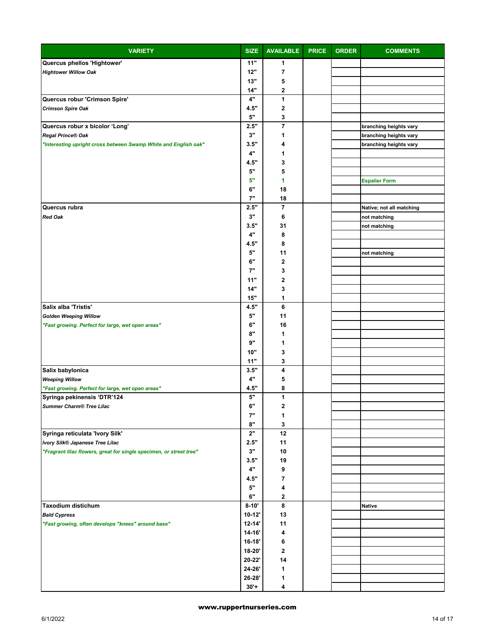| <b>VARIETY</b>                                                                   | <b>SIZE</b> | <b>AVAILABLE</b> | <b>PRICE</b> | <b>ORDER</b> | <b>COMMENTS</b>          |
|----------------------------------------------------------------------------------|-------------|------------------|--------------|--------------|--------------------------|
| Quercus phellos 'Hightower'                                                      | 11"         | 1                |              |              |                          |
| <b>Hightower Willow Oak</b>                                                      | 12"         | 7                |              |              |                          |
|                                                                                  | 13"         | 5                |              |              |                          |
|                                                                                  | 14"         | $\mathbf{2}$     |              |              |                          |
| Quercus robur 'Crimson Spire'                                                    | 4"          | 1                |              |              |                          |
| <b>Crimson Spire Oak</b>                                                         | 4.5"        | 2                |              |              |                          |
|                                                                                  | $5"$        | 3                |              |              |                          |
| Quercus robur x bicolor 'Long'                                                   | 2.5"        | $\overline{7}$   |              |              | branching heights vary   |
| Regal Prince® Oak                                                                | 3"          | 1                |              |              | branching heights vary   |
| "Interesting upright cross between Swamp White and English oak"                  | 3.5"        | 4                |              |              | branching heights vary   |
|                                                                                  | 4"<br>4.5"  | 1                |              |              |                          |
|                                                                                  | $5"$        | 3<br>5           |              |              |                          |
|                                                                                  | 5"          | 1                |              |              | <b>Espalier Form</b>     |
|                                                                                  | 6"          | 18               |              |              |                          |
|                                                                                  | 7"          | 18               |              |              |                          |
| Quercus rubra                                                                    | 2.5"        | $\overline{7}$   |              |              | Native; not all matching |
| <b>Red Oak</b>                                                                   | 3"          | 6                |              |              | not matching             |
|                                                                                  | 3.5"        | 31               |              |              | not matching             |
|                                                                                  | 4"          | 8                |              |              |                          |
|                                                                                  | 4.5"        | 8                |              |              |                          |
|                                                                                  | $5"$        | 11               |              |              | not matching             |
|                                                                                  | 6"          | $\mathbf 2$      |              |              |                          |
|                                                                                  | 7"          | 3                |              |              |                          |
|                                                                                  | 11"         | $\mathbf 2$      |              |              |                          |
|                                                                                  | 14"         | 3                |              |              |                          |
|                                                                                  | 15"         | 1                |              |              |                          |
| Salix alba 'Tristis'                                                             | 4.5"        | 6                |              |              |                          |
| <b>Golden Weeping Willow</b>                                                     | 5"          | 11               |              |              |                          |
| "Fast growing. Perfect for large, wet open areas"                                | 6"          | 16               |              |              |                          |
|                                                                                  | 8"          | 1                |              |              |                          |
|                                                                                  | 9"          | 1                |              |              |                          |
|                                                                                  | 10"         | 3                |              |              |                          |
|                                                                                  | 11"         | 3                |              |              |                          |
| Salix babylonica                                                                 | 3.5"        | 4                |              |              |                          |
| <b>Weeping Willow</b>                                                            | 4"<br>4.5"  | 5<br>8           |              |              |                          |
| "Fast growing. Perfect for large, wet open areas"<br>Syringa pekinensis 'DTR'124 | 5"          | 1                |              |              |                          |
| Summer Charm® Tree Lilac                                                         | 6"          | $\overline{2}$   |              |              |                          |
|                                                                                  | 7"          | 1                |              |              |                          |
|                                                                                  | 8"          | 3                |              |              |                          |
| Syringa reticulata 'Ivory Silk'                                                  | 2"          | 12               |              |              |                          |
| Ivory Silk® Japanese Tree Lilac                                                  | 2.5"        | 11               |              |              |                          |
| "Fragrant lilac flowers, great for single specimen, or street tree"              | 3"          | 10               |              |              |                          |
|                                                                                  | 3.5"        | 19               |              |              |                          |
|                                                                                  | 4"          | 9                |              |              |                          |
|                                                                                  | 4.5"        | $\overline{7}$   |              |              |                          |
|                                                                                  | $5"$        | 4                |              |              |                          |
|                                                                                  | 6"          | $\mathbf 2$      |              |              |                          |
| <b>Taxodium distichum</b>                                                        | $8 - 10'$   | 8                |              |              | <b>Native</b>            |
| <b>Bald Cypress</b>                                                              | $10-12'$    | 13               |              |              |                          |
| "Fast growing, often develops "knees" around base"                               | $12 - 14'$  | 11               |              |              |                          |
|                                                                                  | 14-16'      | 4                |              |              |                          |
|                                                                                  | $16-18'$    | 6                |              |              |                          |
|                                                                                  | 18-20'      | $\mathbf 2$      |              |              |                          |
|                                                                                  | 20-22'      | 14               |              |              |                          |
|                                                                                  | 24-26'      | 1                |              |              |                          |
|                                                                                  | 26-28'      | 1                |              |              |                          |
|                                                                                  | $30'+$      | 4                |              |              |                          |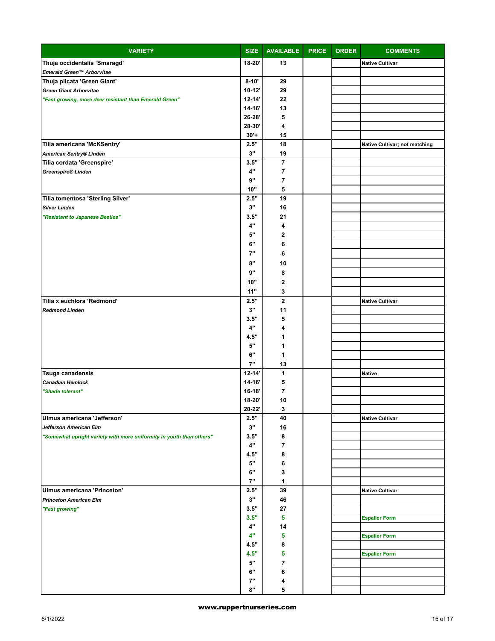| <b>VARIETY</b>                                                       | <b>SIZE</b>  | <b>AVAILABLE</b>    | <b>PRICE</b> | <b>ORDER</b> | <b>COMMENTS</b>               |
|----------------------------------------------------------------------|--------------|---------------------|--------------|--------------|-------------------------------|
| Thuja occidentalis 'Smaragd'                                         | 18-20'       | 13                  |              |              | <b>Native Cultivar</b>        |
| Emerald Green™ Arborvitae                                            |              |                     |              |              |                               |
| Thuja plicata 'Green Giant'                                          | $8 - 10'$    | 29                  |              |              |                               |
| <b>Green Giant Arborvitae</b>                                        | $10 - 12'$   | 29                  |              |              |                               |
| "Fast growing, more deer resistant than Emerald Green"               | $12 - 14'$   | 22                  |              |              |                               |
|                                                                      | 14-16'       | 13                  |              |              |                               |
|                                                                      | 26-28'       | 5                   |              |              |                               |
|                                                                      | 28-30'       | 4                   |              |              |                               |
|                                                                      | $30' +$      | 15                  |              |              |                               |
| Tilia americana 'McKSentry'                                          | 2.5"         | 18                  |              |              | Native Cultivar; not matching |
| American Sentry® Linden                                              | 3"           | 19                  |              |              |                               |
| Tilia cordata 'Greenspire'                                           | 3.5"         | $\overline{7}$      |              |              |                               |
| Greenspire® Linden                                                   | 4"           | $\overline{7}$      |              |              |                               |
|                                                                      | 9"           | 7                   |              |              |                               |
|                                                                      | 10"          | 5                   |              |              |                               |
| Tilia tomentosa 'Sterling Silver'                                    | 2.5"<br>3"   | 19                  |              |              |                               |
| <b>Silver Linden</b>                                                 | 3.5"         | 16<br>21            |              |              |                               |
| "Resistant to Japanese Beetles"                                      | 4"           | 4                   |              |              |                               |
|                                                                      | 5"           | 2                   |              |              |                               |
|                                                                      | 6"           | 6                   |              |              |                               |
|                                                                      | 7"           | 6                   |              |              |                               |
|                                                                      | 8"           |                     |              |              |                               |
|                                                                      | 9"           | 10                  |              |              |                               |
|                                                                      |              | 8                   |              |              |                               |
|                                                                      | 10"          | $\mathbf 2$         |              |              |                               |
| Tilia x euchlora 'Redmond'                                           | 11"          | 3<br>$\overline{2}$ |              |              |                               |
|                                                                      | 2.5"<br>3"   |                     |              |              | <b>Native Cultivar</b>        |
| <b>Redmond Linden</b>                                                | 3.5"         | 11<br>5             |              |              |                               |
|                                                                      | 4"           | 4                   |              |              |                               |
|                                                                      | 4.5"         | 1                   |              |              |                               |
|                                                                      | $5"$         | 1                   |              |              |                               |
|                                                                      | 6"           | 1                   |              |              |                               |
|                                                                      | 7"           | 13                  |              |              |                               |
| <b>Tsuga canadensis</b>                                              | $12 - 14'$   | 1                   |              |              | <b>Native</b>                 |
| <b>Canadian Hemlock</b>                                              | $14 - 16'$   | 5                   |              |              |                               |
| "Shade tolerant"                                                     | $16-18'$     | $\overline{7}$      |              |              |                               |
|                                                                      | 18-20'       | 10                  |              |              |                               |
|                                                                      | 20-22'       | 3                   |              |              |                               |
| Ulmus americana 'Jefferson'                                          | 2.5"         | 40                  |              |              | <b>Native Cultivar</b>        |
| Jefferson American Elm                                               | 3"           | 16                  |              |              |                               |
| "Somewhat upright variety with more uniformity in youth than others" | 3.5"         | 8                   |              |              |                               |
|                                                                      | 4"           | $\overline{7}$      |              |              |                               |
|                                                                      | 4.5"         | 8                   |              |              |                               |
|                                                                      | $5"$         | 6                   |              |              |                               |
|                                                                      | 6"           | 3                   |              |              |                               |
|                                                                      | 7"           | 1                   |              |              |                               |
| Ulmus americana 'Princeton'                                          | 2.5"         | 39                  |              |              | <b>Native Cultivar</b>        |
| <b>Princeton American Elm</b>                                        | 3"           | 46                  |              |              |                               |
| "Fast growing"                                                       | 3.5"         | 27                  |              |              |                               |
|                                                                      | 3.5"         | 5                   |              |              | <b>Espalier Form</b>          |
|                                                                      | 4"           | 14                  |              |              |                               |
|                                                                      | 4"           | 5                   |              |              | <b>Espalier Form</b>          |
|                                                                      | 4.5"<br>4.5" | 8                   |              |              |                               |
|                                                                      | 5"           | 5<br>$\overline{7}$ |              |              | <b>Espalier Form</b>          |
|                                                                      | 6"           | 6                   |              |              |                               |
|                                                                      | 7"           | 4                   |              |              |                               |
|                                                                      | 8"           | 5                   |              |              |                               |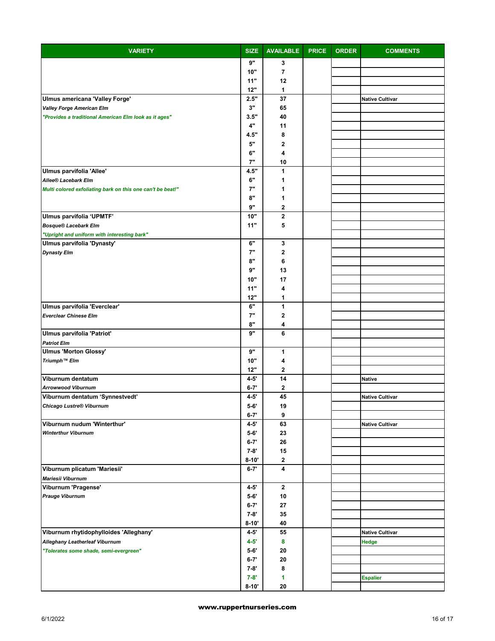| <b>VARIETY</b>                                                                  | <b>SIZE</b>        | <b>AVAILABLE</b>         | <b>PRICE</b> | <b>ORDER</b> | <b>COMMENTS</b>                        |
|---------------------------------------------------------------------------------|--------------------|--------------------------|--------------|--------------|----------------------------------------|
|                                                                                 | 9"                 | 3                        |              |              |                                        |
|                                                                                 | 10"                | $\overline{\phantom{a}}$ |              |              |                                        |
|                                                                                 | 11"                | 12                       |              |              |                                        |
|                                                                                 | 12"                | 1                        |              |              |                                        |
| Ulmus americana 'Valley Forge'                                                  | 2.5"               | 37                       |              |              | <b>Native Cultivar</b>                 |
| Valley Forge American Elm                                                       | 3"                 | 65                       |              |              |                                        |
| "Provides a traditional American Elm look as it ages"                           | 3.5"               | 40                       |              |              |                                        |
|                                                                                 | 4"                 | 11                       |              |              |                                        |
|                                                                                 | 4.5"               | 8                        |              |              |                                        |
|                                                                                 | 5"<br>6"           | $\mathbf 2$              |              |              |                                        |
|                                                                                 | 7"                 | 4<br>10                  |              |              |                                        |
| Ulmus parvifolia 'Allee'                                                        | 4.5"               | 1                        |              |              |                                        |
| <b>Allee® Lacebark Elm</b>                                                      | 6"                 | 1                        |              |              |                                        |
| Multi colored exfoliating bark on this one can't be beat!"                      | 7"                 | 1                        |              |              |                                        |
|                                                                                 | 8"                 | 1                        |              |              |                                        |
|                                                                                 | 9"                 | $\mathbf{2}$             |              |              |                                        |
| Ulmus parvifolia 'UPMTF'                                                        | 10"                | $\mathbf 2$              |              |              |                                        |
| <b>Bosque® Lacebark Elm</b>                                                     | 11"                | 5                        |              |              |                                        |
| "Upright and uniform with interesting bark"                                     |                    |                          |              |              |                                        |
| Ulmus parvifolia 'Dynasty'                                                      | 6"                 | 3                        |              |              |                                        |
| <b>Dynasty Elm</b>                                                              | 7"                 | $\overline{\mathbf{2}}$  |              |              |                                        |
|                                                                                 | 8"                 | 6                        |              |              |                                        |
|                                                                                 | 9"                 | 13                       |              |              |                                        |
|                                                                                 | 10"                | 17                       |              |              |                                        |
|                                                                                 | 11"                | 4                        |              |              |                                        |
| Ulmus parvifolia 'Everclear'                                                    | 12"<br>6"          | 1<br>$\mathbf{1}$        |              |              |                                        |
| <b>Everclear Chinese Elm</b>                                                    | 7"                 | $\overline{\mathbf{2}}$  |              |              |                                        |
|                                                                                 | 8"                 | 4                        |              |              |                                        |
| Ulmus parvifolia 'Patriot'                                                      | 9"                 | 6                        |              |              |                                        |
| <b>Patriot Elm</b>                                                              |                    |                          |              |              |                                        |
| <b>Ulmus 'Morton Glossy'</b>                                                    | 9"                 | 1                        |              |              |                                        |
| Triumph™ Elm                                                                    | 10"                | 4                        |              |              |                                        |
|                                                                                 | 12"                | $\mathbf{2}$             |              |              |                                        |
| Viburnum dentatum                                                               | $4-5$              | 14                       |              |              | <b>Native</b>                          |
| <b>Arrowwood Viburnum</b>                                                       | $6 - 7'$           | $\overline{\mathbf{2}}$  |              |              |                                        |
| Viburnum dentatum 'Synnestvedt'                                                 | $4-5$              | 45                       |              |              | <b>Native Cultivar</b>                 |
| Chicago Lustre® Viburnum                                                        | $5-6$<br>$6 - 7'$  | 19<br>9                  |              |              |                                        |
| Viburnum nudum 'Winterthur'                                                     | 4-5'               | 63                       |              |              | <b>Native Cultivar</b>                 |
| <b>Winterthur Viburnum</b>                                                      | $5-6$              | 23                       |              |              |                                        |
|                                                                                 | $6-7"$             | 26                       |              |              |                                        |
|                                                                                 | $7-8'$             | 15                       |              |              |                                        |
|                                                                                 | $8 - 10'$          | $\mathbf 2$              |              |              |                                        |
| Viburnum plicatum 'Mariesii'                                                    | $6 - 7$            | $\overline{\mathbf{4}}$  |              |              |                                        |
| Mariesii Viburnum                                                               |                    |                          |              |              |                                        |
| Viburnum 'Pragense'                                                             | 4-5'               | $\mathbf{2}$             |              |              |                                        |
| <b>Prauge Viburnum</b>                                                          | $5-6$              | 10                       |              |              |                                        |
|                                                                                 | $6 - 7'$           | 27                       |              |              |                                        |
|                                                                                 | $7 - 8'$           | 35                       |              |              |                                        |
|                                                                                 | $8 - 10'$<br>$4-5$ | 40<br>55                 |              |              |                                        |
| Viburnum rhytidophylloides 'Alleghany'<br><b>Alleghany Leatherleaf Viburnum</b> | $4 - 5'$           | 8                        |              |              | <b>Native Cultivar</b><br><b>Hedge</b> |
| "Tolerates some shade, semi-evergreen"                                          | $5-6'$             | 20                       |              |              |                                        |
|                                                                                 | $6 - 7'$           | 20                       |              |              |                                        |
|                                                                                 | $7-8'$             | 8                        |              |              |                                        |
|                                                                                 | $7 - 8'$           | 1                        |              |              | <b>Espalier</b>                        |
|                                                                                 | $8 - 10'$          | 20                       |              |              |                                        |